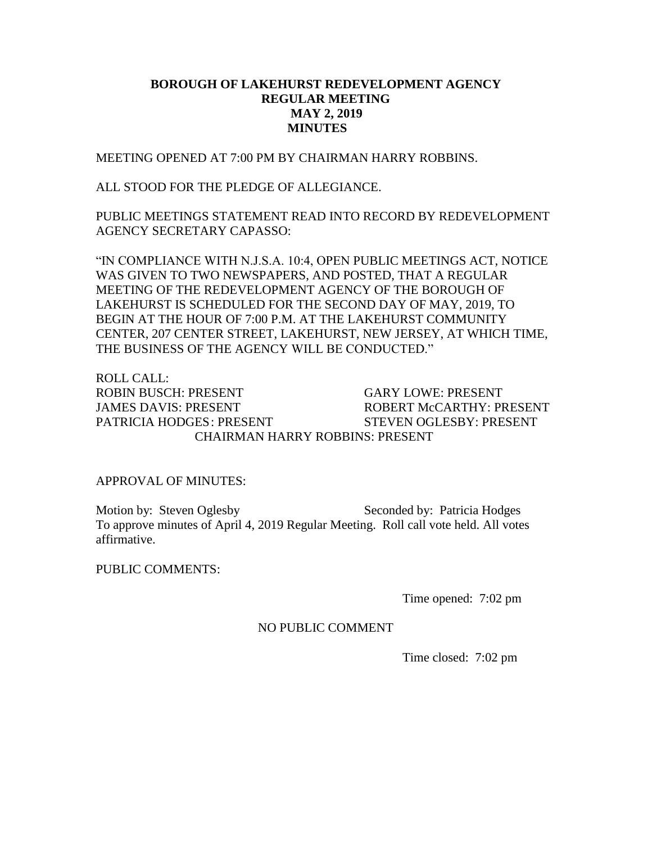## **BOROUGH OF LAKEHURST REDEVELOPMENT AGENCY REGULAR MEETING MAY 2, 2019 MINUTES**

MEETING OPENED AT 7:00 PM BY CHAIRMAN HARRY ROBBINS.

ALL STOOD FOR THE PLEDGE OF ALLEGIANCE.

PUBLIC MEETINGS STATEMENT READ INTO RECORD BY REDEVELOPMENT AGENCY SECRETARY CAPASSO:

"IN COMPLIANCE WITH N.J.S.A. 10:4, OPEN PUBLIC MEETINGS ACT, NOTICE WAS GIVEN TO TWO NEWSPAPERS, AND POSTED, THAT A REGULAR MEETING OF THE REDEVELOPMENT AGENCY OF THE BOROUGH OF LAKEHURST IS SCHEDULED FOR THE SECOND DAY OF MAY, 2019, TO BEGIN AT THE HOUR OF 7:00 P.M. AT THE LAKEHURST COMMUNITY CENTER, 207 CENTER STREET, LAKEHURST, NEW JERSEY, AT WHICH TIME, THE BUSINESS OF THE AGENCY WILL BE CONDUCTED."

ROLL CALL: ROBIN BUSCH: PRESENT GARY LOWE: PRESENT JAMES DAVIS: PRESENT ROBERT McCARTHY: PRESENT PATRICIA HODGES: PRESENT STEVEN OGLESBY: PRESENT CHAIRMAN HARRY ROBBINS: PRESENT

## APPROVAL OF MINUTES:

Motion by: Steven Oglesby Seconded by: Patricia Hodges To approve minutes of April 4, 2019 Regular Meeting. Roll call vote held. All votes affirmative.

PUBLIC COMMENTS:

Time opened: 7:02 pm

## NO PUBLIC COMMENT

Time closed: 7:02 pm